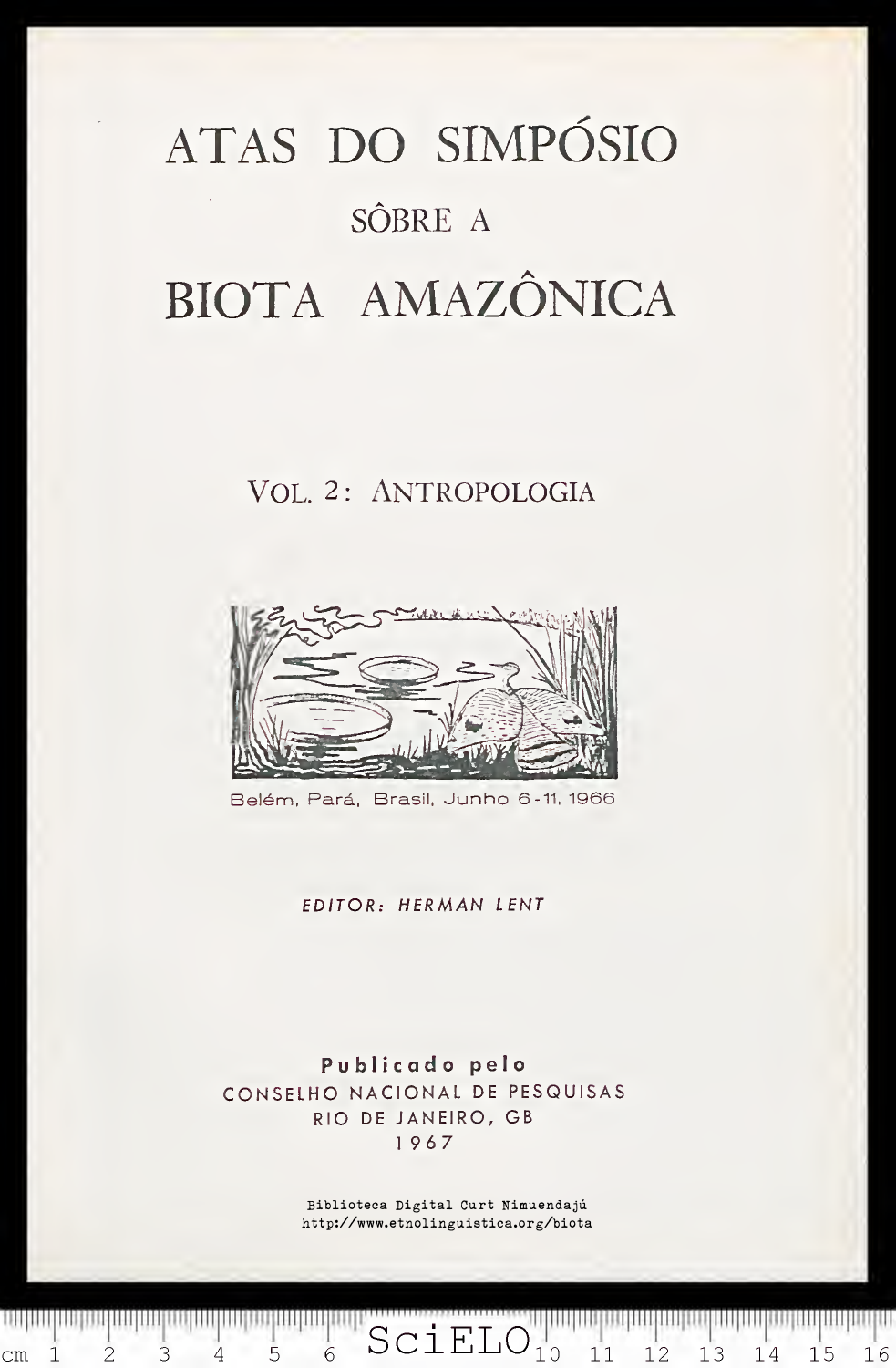## ATAS DO SIMPÓSIO SÔBRE A BIOTA AMAZÔNICA

## VOL. 2: ANTROPOLOGIA



Belém, Pará, Brasil, Junho 6-11, 1966

EDITOR; HERMAN LENT

Publicado pelo CONSELHO NACIONAL DE PESQUISAS RIO DE JANEIRO, GB 1967

 $1111$ 

 $\text{cm}$ 

 $\mathbf{1}$ 

 $\overline{2}$ 

3

4

Biblioteca Digital Curt Nimuendajú http://www.etnolinguistica.org/biota

 $SciELO$ <sup>"|"</sup>

 $\overline{6}$ 

5

 $11$ 

 $12$ 

13

14

15

16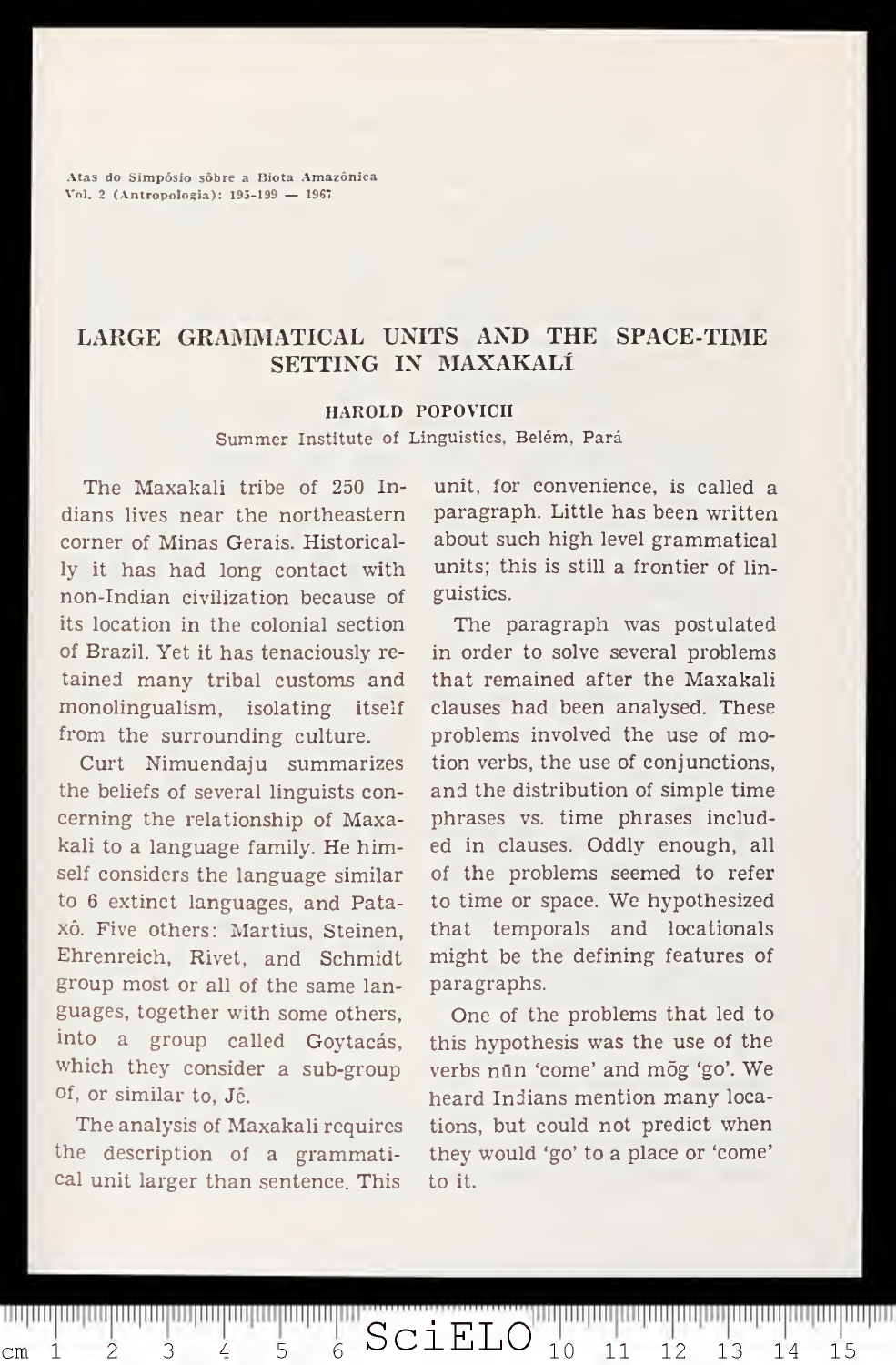Atas do Simpósio sóbre a Biota Amazônica Vol. <sup>2</sup> (Antropologia): 195-199 — <sup>1967</sup>

## LARGE GRAMMATICAL UNITS AND THE SPACE-TIME SETTING IN MAXAKALÍ

## HAROLD POPOVICH

Summer Institute of Linguistics, Belém, Pará

The Maxakaii tribe of 250 In dians lives near the northeastern corner of Minas Gerais. Historically it has had long contact with non-Indian civilization because of its location in the colonial section of Brazil. Yet it has tenaciously re tained many tribal customs and monolingualism, isolating itself from the surrounding culture.

Curt Nimuendaju summarizes the beliefs of several linguists con cerning the relationship of Maxakaii to a language family. He himself considers the language similar to 6 extinct languages, and Pataxó. Five others: Martius, Steinen, Ehrenreich, Rivet, and Schmidt group most or all of the same languages, together with some others, into a group called Goytacás, which they consider a sub-group of, or similar to, Jê.

The analysis of Maxakaii requires the description of a grammatical unit larger than sentence. This

4

1

 $\subset$ m

 $\overline{2}$ 

3

5

unit, for convenience, is called a paragraph. Little has been written about such high levei grammatical units; this is still a frontier of linguistics.

The paragraph was postulated in order to solve several problems that remained after the Maxakaii clauses had been analysed. These problems involved the use of motion verbs, the use of conjunctions, and the distribution of simple time phrases vs. time phrases included in clauses. Oddly enough, all of the problems seemed to refer to time or space. We hypothesized that temporais and locationals might be the defining features of paragraphs.

One of the problems that led to this hypothesis was the use of the verbs nün 'come' and mõg 'go'. We heard Indians mention many locations, but could not predict when they would 'go' to a place or 'come' to it.

 $10$ 

 $11$ 

12

13

14

15

SciELO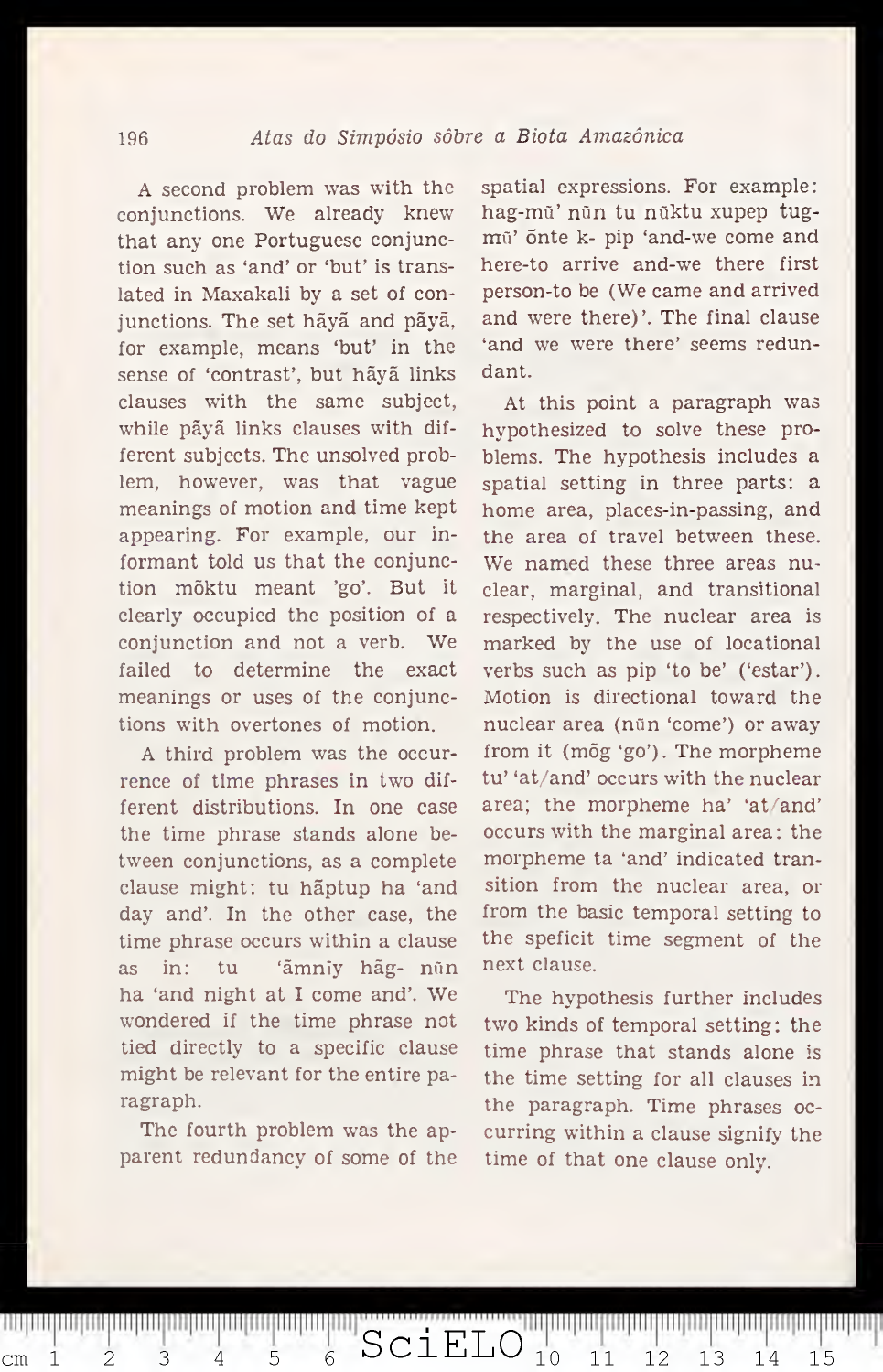A second problem was with the conjunctions. We already knew that any one Portuguese conjunction such as 'and' or 'but' is translated in Maxakali by a set of conjunctions. The set hãyã and pãyã, for example, means 'but' in the sense of 'contrast', but hãyã links clauses with the same subject, while pãyã links clauses with different subjects. The unsolved problem, however, was that vague meanings of motion and time kept appearing. For example, our informant told us that the conjunction mõktu meant 'go'. But it clearly occupied the position of a conjunction and not <sup>a</sup> verb. We failed to determine the exact meanings or uses of the conjunctions with overtones of motion.

A third problem was the occur rence of time phrases in two different distributions. In one case the time phrase stands alone between conjunctions, as a complete clause might: tu hãptup ha 'and day and'. In the other case, the time phrase occurs within a clause as in: tu 'ãmniy hãg- nün ha 'and night at <sup>I</sup> come and'. We wondered if the time phrase not tied directly to a specific clause might be relevant for the entire paragraph.

The fourth problem was the apparent redundancy of some of the

cm <sup>i</sup> SciELO <sup>10</sup> <sup>11</sup> <sup>12</sup> <sup>13</sup> <sup>14</sup> <sup>15</sup>

spatial expressions. For example: hag-mü' nün tu nüktu xupep tugmū' õnte k- pip 'and-we come and here-to arrive and-we there first person-to be (We carne and arrived and were there)'. The final clause 'and we were there' seems redundant.

At this point a paragraph was hypothesized to solve these problems. The hypothesis includes a spatial setting in three parts: a home area, places-in-passing, and the area of travei between these. We named these three areas nuclear, marginal, and transitional respectively. The nuclear area is marked by the use of locational verbs such as pip 'to be' ('estar'). Motion is directional toward the nuclear area (nün 'come') or away from it (mõg 'go'). The morpheme tu' 'at/and' occurs with the nuclear area; the morpheme ha' 'at/and' occurs with the marginal area: the morpheme ta 'and' indicated transition from the nuclear area, or from the basic temporal setting to the speficit time segment of the next clause.

The hypothesis further includes two kinds of temporal setting: the time phrase that stands alone is the time setting for all clauses in the paragraph. Time phrases oc curring within a clause signify the time of that one clause only.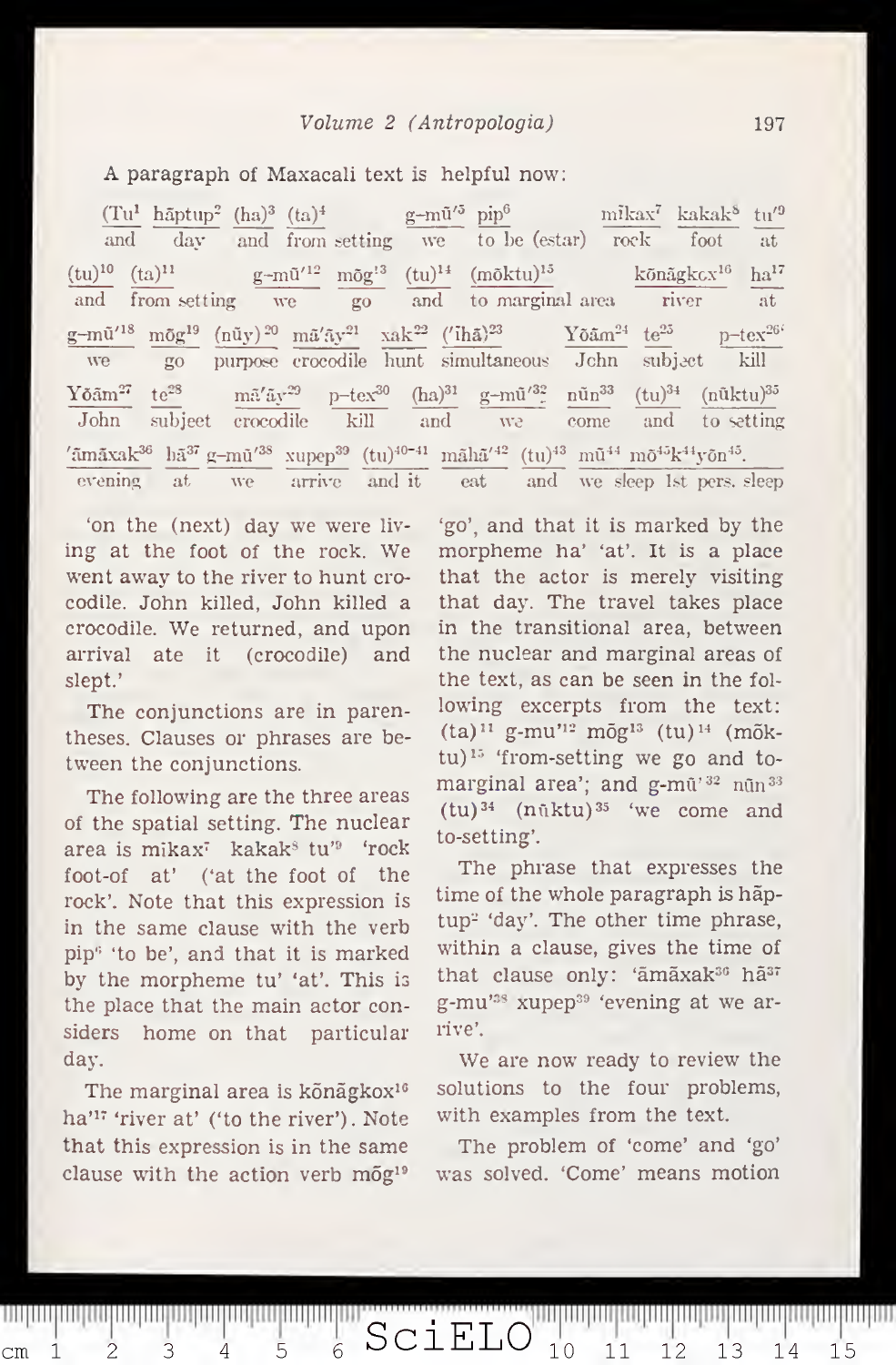A paragraph of Maxacali text is helpful now:

 $(Tu^1 \hbox{ hāptup}^2 \hbox{ (ha)}^3 \hbox{ (ta)}^4$  g-mū'<sup>5</sup> pip<sup>6</sup> nikax<sup>7</sup> kakak<sup>8</sup> tu'<sup>9</sup> and day and from setting we to be (estar) rock foot at  $(\text{tu})^{10}$   $(\text{ta})^{11}$  g-m $\tilde{\text{u}}^{12}$  mõg $^{13}$   $(\text{tu})^{14}$   $(\text{mõktu})^{13}$  kõnãgkc $\text{x}^{10}$  ha $^{14}$ and from setting we go and to marginal area river at  $g-m\tilde{u}'^{18}$   $m\tilde{g}g^{19}$   $(n\tilde{u}y)^{20}$   $m\tilde{u}'\tilde{a}y^{21}$  xak<sup>22</sup> ('ihã)<sup>23</sup> Yõãm<sup>24</sup> te<sup>25</sup> p-tex<sup>26'</sup> we go purpose crocodile hunt simultaneous John subject kill  $\frac{\text{Yõām}^{27}}{\text{cm}^2}$  te<sup>28</sup> mã'ãy<sup>29</sup> p-tex<sup>30</sup> (ha)<sup>31</sup> g-mū'<sup>32</sup> nūn<sup>33</sup> (tu)<sup>34</sup> (nūktu)<sup>35</sup> John subject crocodile kill and we come and to setting  $\tilde{a}$ mãxak $^{36}$  hã $^{37}$  g $-$ mū $'^{38}$  xupep $^{39}$  (tu) $^{40-41}$  mãh $\tilde{a}'^{42}$  (tu) $^{43}$  mũ $^{44}$  mõ $^{45}$ k $^{44}$ yõn $^{45}$ . evening at we arrive and it eat and we sleep Lst pers. sleep

'on the (next) day we were liv ing at the foot of the rock. We went away to the river to hunt crocodile. John killed, John killed a crocodile. We returned, and upon arrival ate it (crocodile) and slept.'

The conjunctions are in parentheses. Clauses or phrases are between the conjunctions.

The following are the three areas of the spatial setting. The nuclear area is mikax<sup>7</sup> kakak<sup>§</sup> tu'<sup>9</sup> 'rock foot-of at' ('at the foot of the rock'. Note that this expression is in the same clause with the verb pip'' 'to be', and that it is marked by the morpheme tu' 'at'. This is the place that the main actor considers home on that particular day.

The marginal area is kõnãgkox<sup>16</sup> ha'<sup>17</sup> 'river at' ('to the river'). Note that this expression is in the same clause with the action verb  $m\tilde{o}g^{19}$ 

 $\frac{1}{6}$ 

5

111 | 111 | 111 | 111 | 111 | 111 | 111 | 111 | 111 | 111 | 111 | 111 | 111 | 111

4

3

 $1$ 

 $\text{cm}$ 

 $\overline{2}$ 

'go', and that it is marked by the morpheme ha' 'at'. It is a place that the actor is merely visiting that day. The travei takes place in the transitional area, between the nuclear and marginal areas of the text, as can be seen in the fol lowing excerpts from the text:  $(ta)^{11}$  g-mu'<sup>12</sup> mõg<sup>13</sup> (tu)<sup>14</sup> (mõk $tu$ )<sup>15</sup> 'from-setting we go and tomarginal area'; and  $g$ -mū<sup>'32</sup> nūn<sup>33</sup>  $(tu)$ <sup>34</sup> (nūktu)<sup>35</sup> 'we come and to-setting'.

The phrase that expresses the time of the whole paragraph is hãptup<sup>2</sup> 'day'. The other time phrase, within a clause, gives the time of that clause only: 'āmāxak<sup>36</sup> hā<sup>37</sup> g-mu'®\* xupep^® 'evening at we arrive'.

We are now ready to review the solutions to the four problems, with examples from the text.

The problem of 'come' and 'go' was solved. 'Come' means motion

 $SCIELO$ <sub>10</sub> 11 12 13 14 15

100 | 111 | 111 | 111 | 111 | 111 | 111 | 111 | 111 | 111 | 111 | 111 | 111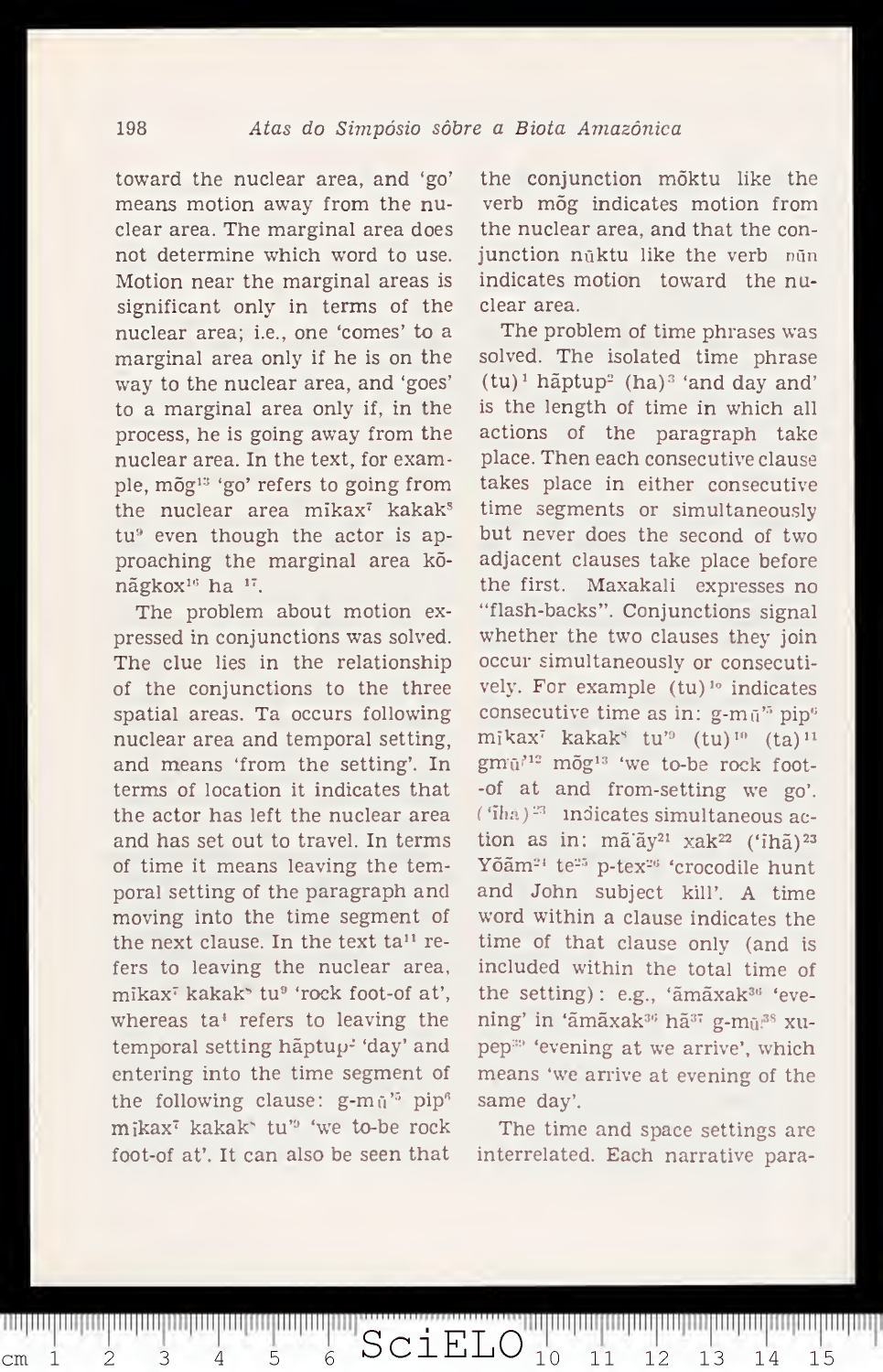toward the nuclear area, and 'go' means motion away from the nuclear area. The marginal area does not determine which word to use. Motion near the marginal areas is significant only in terms of the nuclear area; i.e., one 'comes' to a marginal area only if he is on the way to the nuclear area, and 'goes' to a marginal area only if, in the process, he is going away from the nuclear area. In the text, for example, mõg'" 'go' refers to going from the nuclear area mikax<sup>7</sup> kakak<sup>s</sup> tu<sup>9</sup> even though the actor is approaching the marginal area kõnãgkox<sup>16</sup> ha <sup>17</sup>.

The problem about motion ex pressed in conjunctions was solved. The clue lies in the relationship of the conjunctions to the three spatial areas. Ta occurs following nuclear area and temporal setting, and means 'from the setting'. In terms of location it indicates that the actor has left the nuclear area and has set out to travei. In terms of time it means leaving the temporal setting of the paragraph and moving into the time segment of the next clause. In the text  $ta^{11}$  refers to leaving the nuclear area, mikax' kakak' tu® 'rock foot-of at', whereas ta\* refers to leaving the temporal setting hãptup-' 'day' and entering into the time segment of the following clause:  $g-m\pi'^5$  pip<sup>®</sup> mikax' kakak" tu'® 'we to-be rock foot-of at'. It can also be seen that

cm <sup>i</sup> SciELO <sup>10</sup> <sup>11</sup> <sup>12</sup> <sup>13</sup> <sup>14</sup> <sup>15</sup>

the conjunction mõktu like the verb mõg indicates motion from the nuclear area, and that the con junction nüktu like the verb nün indicates motion toward the nuclear area.

The problem of time phrases was solved. The isolated time phrase  $(tu)^1$  hãptup<sup>2</sup> (ha)<sup>3</sup> 'and day and' is the length of time in which all actions of the paragraph take place. Then each consecutive clause takes place in either consecutive time segments or simultaneously but never does the second of two adjacent clauses take place before the first. Maxakali expresses no "flash-backs". Conjunctions signal whether the two clauses they join occur simultaneously or consecutively. For example  $(tu)^{10}$  indicates consecutive time as in:  $g-m\bar{u}^{\prime5}$  pip<sup>6</sup> mikax<sup> $\bar{t}$ </sup> kakak<sup>s</sup> tu'<sup>9</sup> (tu)<sup>10</sup> (ta)<sup>11</sup> gmū<sup>'12</sup> mõg<sup>13</sup> 'we to-be rock foot--of at and from-setting we go'.  $(\text{ 'iha })$ <sup>23</sup> mdicates simultaneous action as in: mã'ãy<sup>21</sup> xak<sup>22</sup> ('ihã)<sup>23</sup> Yõãm<sup>24</sup> te<sup>25</sup> p-tex<sup>26</sup> 'crocodile hunt and John subject kill'. A time word within a clause indicates the time of that clause only (and is included within the total time of the setting): e.g., 'ãmãxak<sup>36</sup> 'evening' in 'ãmãxak<sup>36</sup> hã<sup>37</sup> g-mū.<sup>38</sup> xupep<sup>39</sup> 'evening at we arrive', which means 'we arrive at evening of the same day'.

The time and space settings are interrelated. Each narrative para-